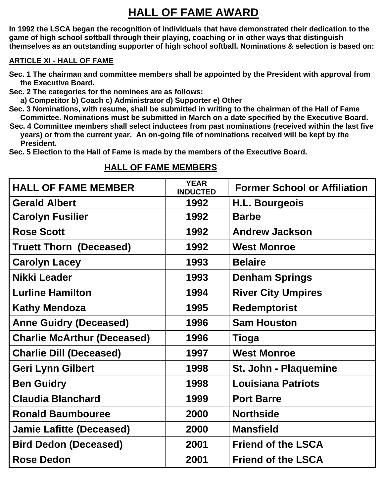## **HALL OF FAME AWARD**

**In 1992 the LSCA began the recognition of individuals that have demonstrated their dedication to the game of high school softball through their playing, coaching or in other ways that distinguish themselves as an outstanding supporter of high school softball. Nominations & selection is based on:**

## **ARTICLE XI - HALL OF FAME**

- **Sec. 1 The chairman and committee members shall be appointed by the President with approval from the Executive Board.**
- **Sec. 2 The categories for the nominees are as follows:**
- **a) Competitor b) Coach c) Administrator d) Supporter e) Other**
- **Sec. 3 Nominations, with resume, shall be submitted in writing to the chairman of the Hall of Fame Committee. Nominations must be submitted in March on a date specified by the Executive Board.**
- **Sec. 4 Committee members shall select inductees from past nominations (received within the last five years) or from the current year. An on-going file of nominations received will be kept by the President.**
- **Sec. 5 Election to the Hall of Fame is made by the members of the Executive Board.**

| <b>HALL OF FAME MEMBER</b>         | <b>YEAR</b><br><b>INDUCTED</b> | <b>Former School or Affiliation</b> |
|------------------------------------|--------------------------------|-------------------------------------|
| <b>Gerald Albert</b>               | 1992                           | <b>H.L. Bourgeois</b>               |
| <b>Carolyn Fusilier</b>            | 1992                           | <b>Barbe</b>                        |
| <b>Rose Scott</b>                  | 1992                           | <b>Andrew Jackson</b>               |
| <b>Truett Thorn (Deceased)</b>     | 1992                           | <b>West Monroe</b>                  |
| <b>Carolyn Lacey</b>               | 1993                           | <b>Belaire</b>                      |
| Nikki Leader                       | 1993                           | <b>Denham Springs</b>               |
| <b>Lurline Hamilton</b>            | 1994                           | <b>River City Umpires</b>           |
| <b>Kathy Mendoza</b>               | 1995                           | <b>Redemptorist</b>                 |
| <b>Anne Guidry (Deceased)</b>      | 1996                           | <b>Sam Houston</b>                  |
| <b>Charlie McArthur (Deceased)</b> | 1996                           | Tioga                               |
| <b>Charlie Dill (Deceased)</b>     | 1997                           | <b>West Monroe</b>                  |
| <b>Geri Lynn Gilbert</b>           | 1998                           | St. John - Plaquemine               |
| <b>Ben Guidry</b>                  | 1998                           | <b>Louisiana Patriots</b>           |
| <b>Claudia Blanchard</b>           | 1999                           | <b>Port Barre</b>                   |
| <b>Ronald Baumbouree</b>           | 2000                           | <b>Northside</b>                    |
| <b>Jamie Lafitte (Deceased)</b>    | 2000                           | <b>Mansfield</b>                    |
| <b>Bird Dedon (Deceased)</b>       | 2001                           | <b>Friend of the LSCA</b>           |
| <b>Rose Dedon</b>                  | 2001                           | <b>Friend of the LSCA</b>           |

## **HALL OF FAME MEMBERS**